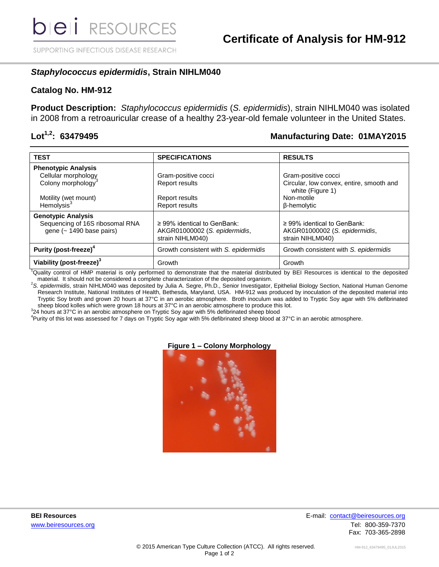SUPPORTING INFECTIOUS DISEASE RESEARCH

## *Staphylococcus epidermidis***, Strain NIHLM040**

#### **Catalog No. HM-912**

**Product Description:** *Staphylococcus epidermidis* (*S. epidermidis*), strain NIHLM040 was isolated in 2008 from a retroauricular crease of a healthy 23-year-old female volunteer in the United States.

### **Lot1,2: 63479495 Manufacturing Date: 01MAY2015**

| <b>TEST</b>                                                                              | <b>SPECIFICATIONS</b>                                                                 | <b>RESULTS</b>                                                                        |
|------------------------------------------------------------------------------------------|---------------------------------------------------------------------------------------|---------------------------------------------------------------------------------------|
| <b>Phenotypic Analysis</b>                                                               |                                                                                       |                                                                                       |
| Cellular morphology                                                                      | Gram-positive cocci                                                                   | Gram-positive cocci                                                                   |
| Colony morphology <sup>3</sup>                                                           | Report results                                                                        | Circular, low convex, entire, smooth and<br>white (Figure 1)                          |
| Motility (wet mount)                                                                     | Report results                                                                        | Non-motile                                                                            |
| Hemolysis $3$                                                                            | <b>Report results</b>                                                                 | <b>ß-hemolytic</b>                                                                    |
| <b>Genotypic Analysis</b><br>Sequencing of 16S ribosomal RNA<br>gene (~ 1490 base pairs) | $\geq$ 99% identical to GenBank:<br>AKGR01000002 (S. epidermidis,<br>strain NIHLM040) | $\geq$ 99% identical to GenBank:<br>AKGR01000002 (S. epidermidis,<br>strain NIHLM040) |
| Purity (post-freeze) <sup>4</sup>                                                        | Growth consistent with S. epidermidis                                                 | Growth consistent with S. epidermidis                                                 |
| Viability (post-freeze) <sup>3</sup>                                                     | Growth                                                                                | Growth                                                                                |

<sup>1</sup>Quality control of HMP material is only performed to demonstrate that the material distributed by BEI Resources is identical to the deposited material. It should not be considered a complete characterization of the deposited organism.

<sup>2</sup>*S. epidermidis*, strain NIHLM040 was deposited by Julia A. Segre, Ph.D., Senior Investigator, Epithelial Biology Section, National Human Genome Research Institute, National Institutes of Health, Bethesda, Maryland, USA. HM-912 was produced by inoculation of the deposited material into Tryptic Soy broth and grown 20 hours at 37°C in an aerobic atmosphere. Broth inoculum was added to Tryptic Soy agar with 5% defibrinated sheep blood kolles which were grown 18 hours at 37°C in an aerobic atmosphere to produce this lot.

 $324$  hours at 37°C in an aerobic atmosphere on Tryptic Soy agar with 5% defibrinated sheep blood

<sup>4</sup>Purity of this lot was assessed for 7 days on Tryptic Soy agar with 5% defibrinated sheep blood at 37°C in an aerobic atmosphere.

#### **Figure 1 – Colony Morphology**



**BEI Resources** E-mail: [contact@beiresources.org](mailto:contact@beiresources.org) www.beiresources.orgTel: 800-359-7370 Fax: 703-365-2898